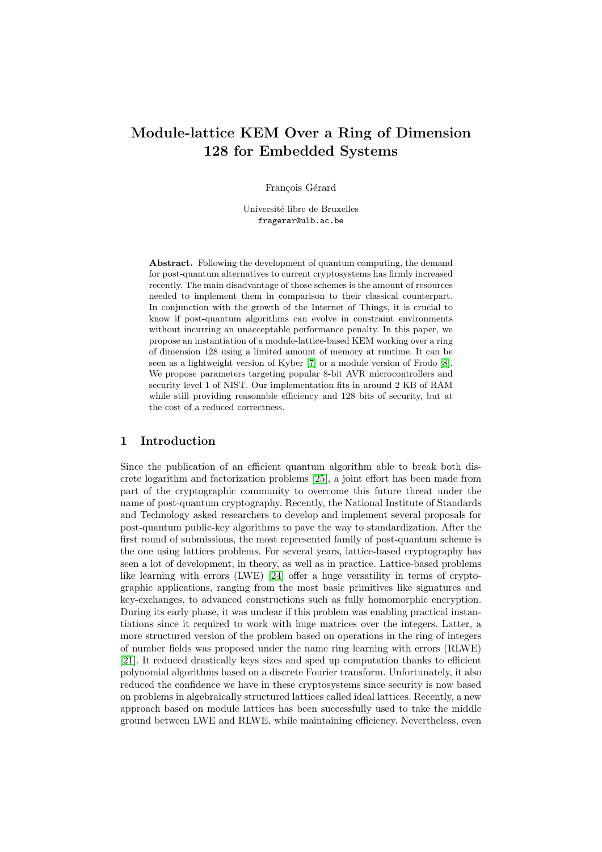# Module-lattice KEM Over a Ring of Dimension 128 for Embedded Systems

François Gérard

Université libre de Bruxelles fragerar@ulb.ac.be

Abstract. Following the development of quantum computing, the demand for post-quantum alternatives to current cryptosystems has firmly increased recently. The main disadvantage of those schemes is the amount of resources needed to implement them in comparison to their classical counterpart. In conjunction with the growth of the Internet of Things, it is crucial to know if post-quantum algorithms can evolve in constraint environments without incurring an unacceptable performance penalty. In this paper, we propose an instantiation of a module-lattice-based KEM working over a ring of dimension 128 using a limited amount of memory at runtime. It can be seen as a lightweight version of Kyber [\[7\]](#page-13-0) or a module version of Frodo [\[8\]](#page-13-1). We propose parameters targeting popular 8-bit AVR microcontrollers and security level 1 of NIST. Our implementation fits in around 2 KB of RAM while still providing reasonable efficiency and 128 bits of security, but at the cost of a reduced correctness.

# 1 Introduction

Since the publication of an efficient quantum algorithm able to break both discrete logarithm and factorization problems [\[25\]](#page-14-0), a joint effort has been made from part of the cryptographic community to overcome this future threat under the name of post-quantum cryptography. Recently, the National Institute of Standards and Technology asked researchers to develop and implement several proposals for post-quantum public-key algorithms to pave the way to standardization. After the first round of submissions, the most represented family of post-quantum scheme is the one using lattices problems. For several years, lattice-based cryptography has seen a lot of development, in theory, as well as in practice. Lattice-based problems like learning with errors (LWE) [\[24\]](#page-14-1) offer a huge versatility in terms of cryptographic applications, ranging from the most basic primitives like signatures and key-exchanges, to advanced constructions such as fully homomorphic encryption. During its early phase, it was unclear if this problem was enabling practical instantiations since it required to work with huge matrices over the integers. Latter, a more structured version of the problem based on operations in the ring of integers of number fields was proposed under the name ring learning with errors (RLWE) [\[21\]](#page-14-2). It reduced drastically keys sizes and sped up computation thanks to efficient polynomial algorithms based on a discrete Fourier transform. Unfortunately, it also reduced the confidence we have in these cryptosystems since security is now based on problems in algebraically structured lattices called ideal lattices. Recently, a new approach based on module lattices has been successfully used to take the middle ground between LWE and RLWE, while maintaining efficiency. Nevertheless, even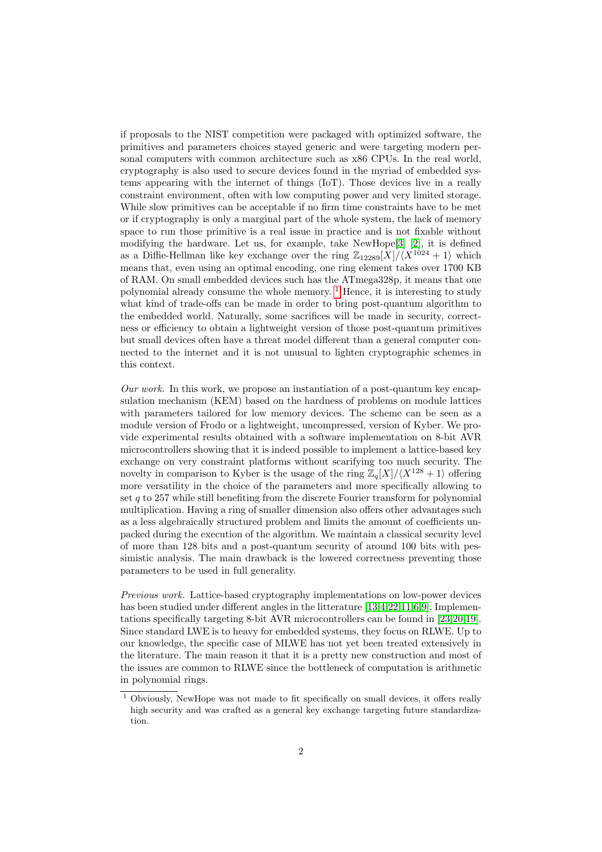if proposals to the NIST competition were packaged with optimized software, the primitives and parameters choices stayed generic and were targeting modern personal computers with common architecture such as x86 CPUs. In the real world, cryptography is also used to secure devices found in the myriad of embedded systems appearing with the internet of things (IoT). Those devices live in a really constraint environment, often with low computing power and very limited storage. While slow primitives can be acceptable if no firm time constraints have to be met or if cryptography is only a marginal part of the whole system, the lack of memory space to run those primitive is a real issue in practice and is not fixable without modifying the hardware. Let us, for example, take  $NewHope[3]$  $NewHope[3]$  [\[2\]](#page-13-3), it is defined as a Diffie-Hellman like key exchange over the ring  $\mathbb{Z}_{12289}[X]/\langle X^{1024} + 1 \rangle$  which means that, even using an optimal encoding, one ring element takes over 1700 KB of RAM. On small embedded devices such has the ATmega328p, it means that one polynomial already consume the whole memory.  $\frac{1}{1}$  $\frac{1}{1}$  $\frac{1}{1}$  Hence, it is interesting to study what kind of trade-offs can be made in order to bring post-quantum algorithm to the embedded world. Naturally, some sacrifices will be made in security, correctness or efficiency to obtain a lightweight version of those post-quantum primitives but small devices often have a threat model different than a general computer connected to the internet and it is not unusual to lighten cryptographic schemes in this context.

Our work. In this work, we propose an instantiation of a post-quantum key encapsulation mechanism (KEM) based on the hardness of problems on module lattices with parameters tailored for low memory devices. The scheme can be seen as a module version of Frodo or a lightweight, uncompressed, version of Kyber. We provide experimental results obtained with a software implementation on 8-bit AVR microcontrollers showing that it is indeed possible to implement a lattice-based key exchange on very constraint platforms without scarifying too much security. The novelty in comparison to Kyber is the usage of the ring  $\mathbb{Z}_q[X]/\langle X^{128} + 1 \rangle$  offering more versatility in the choice of the parameters and more specifically allowing to set  $q$  to 257 while still benefiting from the discrete Fourier transform for polynomial multiplication. Having a ring of smaller dimension also offers other advantages such as a less algebraically structured problem and limits the amount of coefficients unpacked during the execution of the algorithm. We maintain a classical security level of more than 128 bits and a post-quantum security of around 100 bits with pessimistic analysis. The main drawback is the lowered correctness preventing those parameters to be used in full generality.

Previous work. Lattice-based cryptography implementations on low-power devices has been studied under different angles in the litterature [\[13,](#page-13-4)[4,](#page-13-5)[22,](#page-14-3)[11,](#page-13-6)[6,](#page-13-7)[9\]](#page-13-8). Implementations specifically targeting 8-bit AVR microcontrollers can be found in [\[23,](#page-14-4)[20,](#page-14-5)[19\]](#page-14-6). Since standard LWE is to heavy for embedded systems, they focus on RLWE. Up to our knowledge, the specific case of MLWE has not yet been treated extensively in the literature. The main reason it that it is a pretty new construction and most of the issues are common to RLWE since the bottleneck of computation is arithmetic in polynomial rings.

<span id="page-1-0"></span> $\frac{1}{1}$  Obviously, NewHope was not made to fit specifically on small devices, it offers really high security and was crafted as a general key exchange targeting future standardization.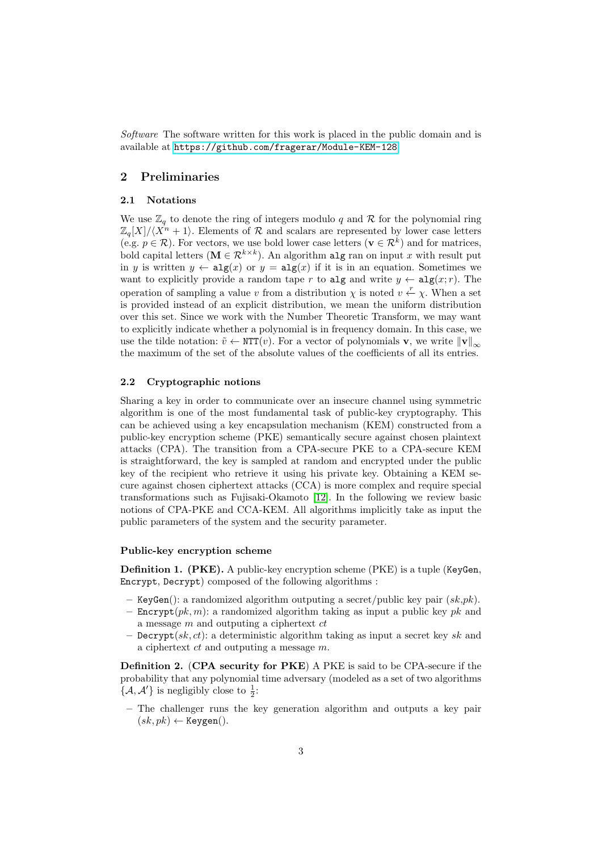Software The software written for this work is placed in the public domain and is available at <https://github.com/fragerar/Module-KEM-128>

# 2 Preliminaries

#### 2.1 Notations

We use  $\mathbb{Z}_q$  to denote the ring of integers modulo q and R for the polynomial ring  $\mathbb{Z}_q[X]/\langle X^n + 1\rangle$ . Elements of R and scalars are represented by lower case letters (e.g.  $p \in \mathcal{R}$ ). For vectors, we use bold lower case letters ( $\mathbf{v} \in \mathcal{R}^k$ ) and for matrices, bold capital letters ( $\mathbf{M} \in \mathcal{R}^{k \times k}$ ). An algorithm alg ran on input x with result put in y is written  $y \leftarrow \text{alg}(x)$  or  $y = \text{alg}(x)$  if it is in an equation. Sometimes we want to explicitly provide a random tape r to alg and write  $y \leftarrow \text{alg}(x; r)$ . The operation of sampling a value v from a distribution  $\chi$  is noted  $v \stackrel{r}{\leftarrow} \chi$ . When a set is provided instead of an explicit distribution, we mean the uniform distribution over this set. Since we work with the Number Theoretic Transform, we may want to explicitly indicate whether a polynomial is in frequency domain. In this case, we use the tilde notation:  $\tilde{v} \leftarrow \text{NTT}(v)$ . For a vector of polynomials **v**, we write  $\|\mathbf{v}\|_{\infty}$ the maximum of the set of the absolute values of the coefficients of all its entries.

#### 2.2 Cryptographic notions

Sharing a key in order to communicate over an insecure channel using symmetric algorithm is one of the most fundamental task of public-key cryptography. This can be achieved using a key encapsulation mechanism (KEM) constructed from a public-key encryption scheme (PKE) semantically secure against chosen plaintext attacks (CPA). The transition from a CPA-secure PKE to a CPA-secure KEM is straightforward, the key is sampled at random and encrypted under the public key of the recipient who retrieve it using his private key. Obtaining a KEM secure against chosen ciphertext attacks (CCA) is more complex and require special transformations such as Fujisaki-Okamoto [\[12\]](#page-13-9). In the following we review basic notions of CPA-PKE and CCA-KEM. All algorithms implicitly take as input the public parameters of the system and the security parameter.

#### Public-key encryption scheme

Definition 1. (PKE). A public-key encryption scheme (PKE) is a tuple (KeyGen, Encrypt, Decrypt) composed of the following algorithms :

- KeyGen(): a randomized algorithm outputing a secret/public key pair  $(sk,pk)$ .
- Encrypt $(pk, m)$ : a randomized algorithm taking as input a public key pk and a message  $m$  and outputing a ciphertext  $ct$
- **Decrypt** $(sk, ct)$ : a deterministic algorithm taking as input a secret key sk and a ciphertext ct and outputing a message m.

Definition 2. (CPA security for PKE) A PKE is said to be CPA-secure if the probability that any polynomial time adversary (modeled as a set of two algorithms  $\{\mathcal{A}, \mathcal{A}'\}$  is negligibly close to  $\frac{1}{2}$ :

– The challenger runs the key generation algorithm and outputs a key pair  $(sk, pk) \leftarrow \text{Keygen}()$ .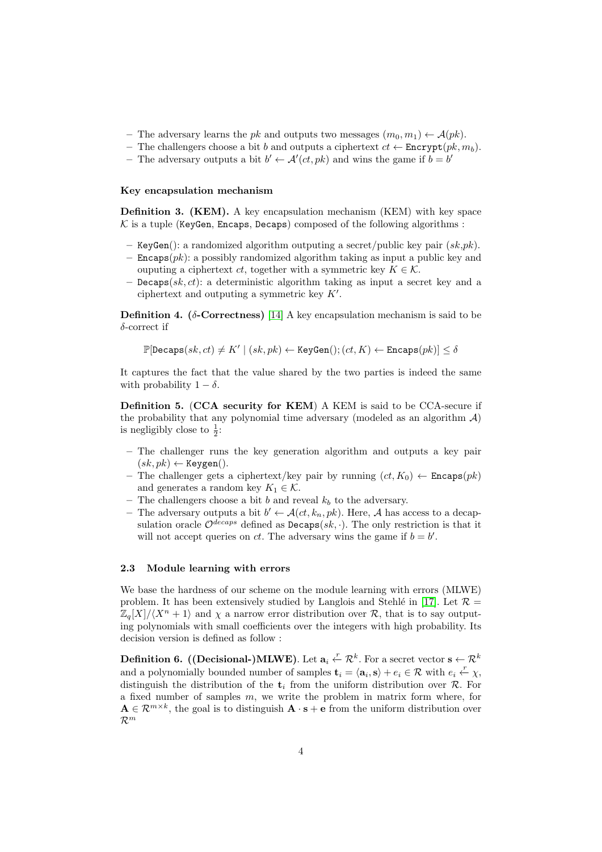- The adversary learns the pk and outputs two messages  $(m_0, m_1) \leftarrow \mathcal{A}(pk)$ .
- The challengers choose a bit b and outputs a ciphertext  $ct \leftarrow$  Encrypt $(pk, m_b)$ .
- The adversary outputs a bit  $b' \leftarrow A'(ct, pk)$  and wins the game if  $b = b'$

#### Key encapsulation mechanism

Definition 3. (KEM). A key encapsulation mechanism (KEM) with key space  $K$  is a tuple (KeyGen, Encaps, Decaps) composed of the following algorithms :

- KeyGen(): a randomized algorithm outputing a secret/public key pair  $(sk,pk)$ .
- $-$  Encaps $(pk)$ : a possibly randomized algorithm taking as input a public key and ouputing a ciphertext ct, together with a symmetric key  $K \in \mathcal{K}$ .
- Decaps $(sk, ct)$ : a deterministic algorithm taking as input a secret key and a ciphertext and outputing a symmetric key  $K'$ .

Definition 4. ( $\delta$ -Correctness) [\[14\]](#page-13-10) A key encapsulation mechanism is said to be  $\delta$ -correct if

 $\mathbb{P}[\mathsf{Decaps}(sk, ct) \neq K' \mid (sk, pk) \leftarrow \mathsf{KeyGen}(); (ct, K) \leftarrow \mathsf{Encaps}(pk)] \leq \delta$ 

It captures the fact that the value shared by the two parties is indeed the same with probability  $1 - \delta$ .

Definition 5. (CCA security for KEM) A KEM is said to be CCA-secure if the probability that any polynomial time adversary (modeled as an algorithm  $A$ ) is negligibly close to  $\frac{1}{2}$ :

- The challenger runs the key generation algorithm and outputs a key pair  $(sk, pk) \leftarrow \text{Keygen}()$ .
- The challenger gets a ciphertext/key pair by running  $(ct, K_0) \leftarrow$  Encaps $(pk)$ and generates a random key  $K_1 \in \mathcal{K}$ .
- The challengers choose a bit b and reveal  $k_b$  to the adversary.
- The adversary outputs a bit  $b' \leftarrow \mathcal{A}(ct, k_n, pk)$ . Here, A has access to a decapsulation oracle  $\mathcal{O}^{decaps}$  defined as  $\text{Decaps}(sk, \cdot)$ . The only restriction is that it will not accept queries on ct. The adversary wins the game if  $b = b'$ .

#### 2.3 Module learning with errors

We base the hardness of our scheme on the module learning with errors (MLWE) problem. It has been extensively studied by Langlois and Stehlé in [\[17\]](#page-14-7). Let  $\mathcal{R} =$  $\mathbb{Z}_q[X]/\langle X^n + 1 \rangle$  and  $\chi$  a narrow error distribution over R, that is to say outputing polynomials with small coefficients over the integers with high probability. Its decision version is defined as follow :

Definition 6. ((Decisional-)MLWE). Let  $\mathbf{a}_i \stackrel{r}{\leftarrow} \mathcal{R}^k$ . For a secret vector  $\mathbf{s} \leftarrow \mathcal{R}^k$ and a polynomially bounded number of samples  $\mathbf{t}_i = \langle \mathbf{a}_i, \mathbf{s} \rangle + e_i \in \mathcal{R}$  with  $e_i \stackrel{r}{\leftarrow} \chi$ , distinguish the distribution of the  $t_i$  from the uniform distribution over  $R$ . For a fixed number of samples  $m$ , we write the problem in matrix form where, for  $\mathbf{A} \in \mathcal{R}^{m \times k}$ , the goal is to distinguish  $\mathbf{A} \cdot \mathbf{s} + \mathbf{e}$  from the uniform distribution over  $\mathcal{R}^m$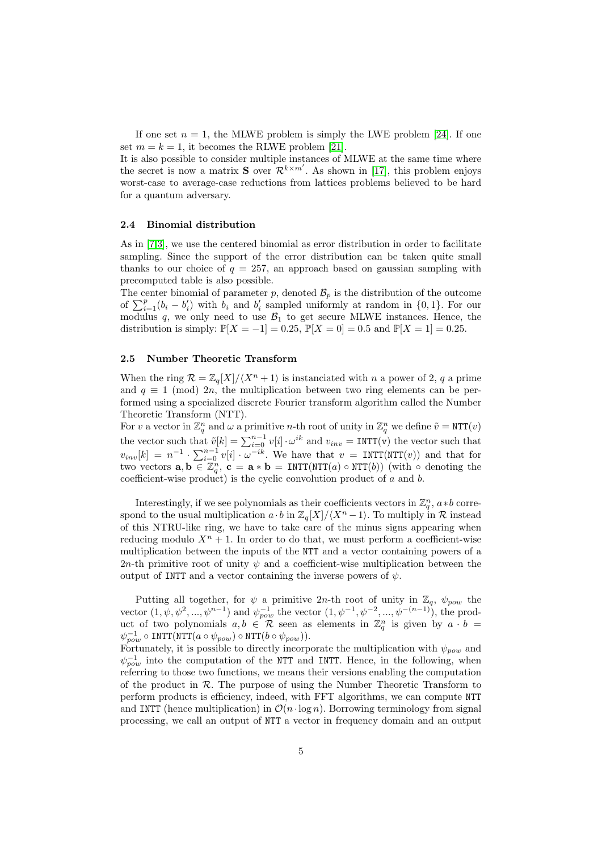If one set  $n = 1$ , the MLWE problem is simply the LWE problem [\[24\]](#page-14-1). If one set  $m = k = 1$ , it becomes the RLWE problem [\[21\]](#page-14-2).

It is also possible to consider multiple instances of MLWE at the same time where the secret is now a matrix **S** over  $\mathcal{R}^{k \times m'}$ . As shown in [\[17\]](#page-14-7), this problem enjoys worst-case to average-case reductions from lattices problems believed to be hard for a quantum adversary.

#### 2.4 Binomial distribution

As in [\[7,](#page-13-0)[3\]](#page-13-2), we use the centered binomial as error distribution in order to facilitate sampling. Since the support of the error distribution can be taken quite small thanks to our choice of  $q = 257$ , an approach based on gaussian sampling with precomputed table is also possible.

The center binomial of parameter p, denoted  $\mathcal{B}_p$  is the distribution of the outcome of  $\sum_{i=1}^{p} (b_i - b'_i)$  with  $b_i$  and  $b'_i$  sampled uniformly at random in  $\{0, 1\}$ . For our modulus q, we only need to use  $\mathcal{B}_1$  to get secure MLWE instances. Hence, the distribution is simply:  $\mathbb{P}[X = -1] = 0.25$ ,  $\mathbb{P}[X = 0] = 0.5$  and  $\mathbb{P}[X = 1] = 0.25$ .

#### 2.5 Number Theoretic Transform

When the ring  $\mathcal{R} = \mathbb{Z}_q[X]/\langle X^n + 1 \rangle$  is instanciated with n a power of 2, q a prime and  $q \equiv 1 \pmod{2n}$ , the multiplication between two ring elements can be performed using a specialized discrete Fourier transform algorithm called the Number Theoretic Transform (NTT).

For v a vector in  $\mathbb{Z}_q^n$  and  $\omega$  a primitive n-th root of unity in  $\mathbb{Z}_q^n$  we define  $\tilde{v} = \text{NTT}(v)$ the vector such that  $\tilde{v}[k] = \sum_{i=0}^{n-1} v[i] \cdot \omega^{ik}$  and  $v_{inv} = \text{INT}(v)$  the vector such that  $v_{inv}[k] = n^{-1} \cdot \sum_{i=0}^{n-1} v[i] \cdot \omega^{-ik}$ . We have that  $v = \text{INTT}(\text{NTT}(v))$  and that for two vectors  $\mathbf{a}, \mathbf{b} \in \mathbb{Z}_q^n$ ,  $\mathbf{c} = \mathbf{a} * \mathbf{b} = \text{INT}(NTT(a) \circ \text{NTT}(b))$  (with  $\circ$  denoting the coefficient-wise product) is the cyclic convolution product of a and b.

Interestingly, if we see polynomials as their coefficients vectors in  $\mathbb{Z}_q^n$ ,  $a * b$  correspond to the usual multiplication  $a \cdot b$  in  $\mathbb{Z}_q[X]/\langle X^n -1\rangle$ . To multiply in R instead of this NTRU-like ring, we have to take care of the minus signs appearing when reducing modulo  $X^n + 1$ . In order to do that, we must perform a coefficient-wise multiplication between the inputs of the NTT and a vector containing powers of a 2n-th primitive root of unity  $\psi$  and a coefficient-wise multiplication between the output of INTT and a vector containing the inverse powers of  $\psi$ .

Putting all together, for  $\psi$  a primitive 2n-th root of unity in  $\mathbb{Z}_q$ ,  $\psi_{pow}$  the vector  $(1, \psi, \psi^2, ..., \psi^{n-1})$  and  $\psi_{pow}^{-1}$  the vector  $(1, \psi^{-1}, \psi^{-2}, ..., \psi^{-(n-1)})$ , the product of two polynomials  $a, b \in \mathbb{R}$  seen as elements in  $\mathbb{Z}_q^n$  is given by  $a \cdot b =$  $\psi_{pow}^{-1} \circ \text{INTT}(\text{NTT}(a \circ \psi_{pow}) \circ \text{NTT}(b \circ \psi_{pow})).$ 

Fortunately, it is possible to directly incorporate the multiplication with  $\psi_{pow}$  and  $\psi_{pow}^{-1}$  into the computation of the NTT and INTT. Hence, in the following, when referring to those two functions, we means their versions enabling the computation of the product in  $\mathcal{R}$ . The purpose of using the Number Theoretic Transform to perform products is efficiency, indeed, with FFT algorithms, we can compute NTT and INTT (hence multiplication) in  $\mathcal{O}(n \cdot \log n)$ . Borrowing terminology from signal processing, we call an output of NTT a vector in frequency domain and an output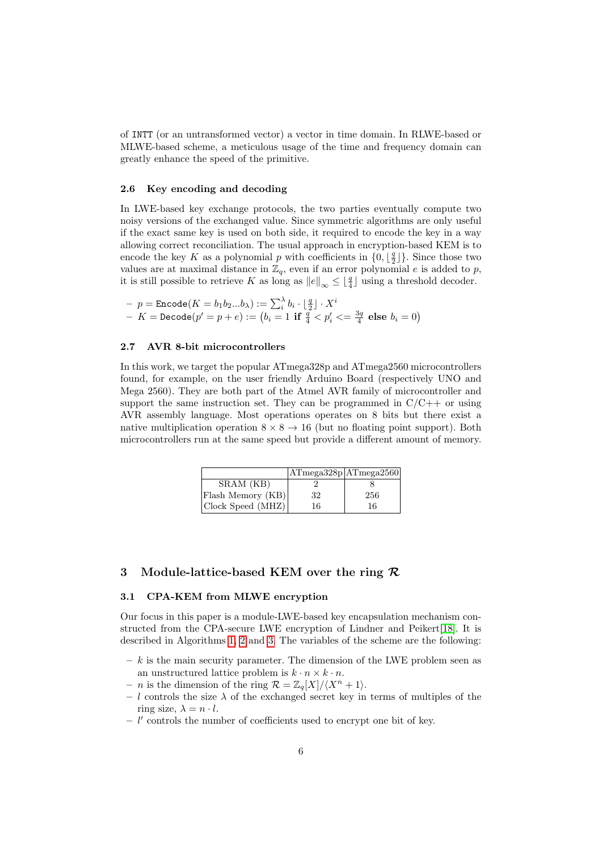of INTT (or an untransformed vector) a vector in time domain. In RLWE-based or MLWE-based scheme, a meticulous usage of the time and frequency domain can greatly enhance the speed of the primitive.

#### 2.6 Key encoding and decoding

In LWE-based key exchange protocols, the two parties eventually compute two noisy versions of the exchanged value. Since symmetric algorithms are only useful if the exact same key is used on both side, it required to encode the key in a way allowing correct reconciliation. The usual approach in encryption-based KEM is to encode the key K as a polynomial p with coefficients in  $\{0, \lfloor \frac{q}{2} \rfloor\}$ . Since those two values are at maximal distance in  $\mathbb{Z}_q$ , even if an error polynomial e is added to p, it is still possible to retrieve K as long as  $||e||_{\infty} \leq \lfloor \frac{q}{4} \rfloor$  using a threshold decoder.

$$
\begin{array}{l} \text{-- $p= \texttt{Encode}(K=b_1b_2...b_\lambda):=\sum_i^\lambda b_i \cdot \lfloor \frac{q}{2} \rfloor \cdot X^i$} \\ \text{-- $K= \texttt{Decode}(p'=p+e):=\left(b_i=1 \text{ if } \frac{q}{4} < p_i' <= \frac{3q}{4} \text{ else } b_i=0\right)$} \end{array}
$$

#### 2.7 AVR 8-bit microcontrollers

In this work, we target the popular ATmega328p and ATmega2560 microcontrollers found, for example, on the user friendly Arduino Board (respectively UNO and Mega 2560). They are both part of the Atmel AVR family of microcontroller and support the same instruction set. They can be programmed in  $C/C++$  or using AVR assembly language. Most operations operates on 8 bits but there exist a native multiplication operation  $8 \times 8 \rightarrow 16$  (but no floating point support). Both microcontrollers run at the same speed but provide a different amount of memory.

|                   | ATmega328p ATmega2560 |     |
|-------------------|-----------------------|-----|
| SRAM (KB)         |                       |     |
| Flash Memory (KB) | 32                    | 256 |
| Clock Speed (MHZ) | 16                    | 16  |

# 3 Module-lattice-based KEM over the ring  $\mathcal{R}$

#### 3.1 CPA-KEM from MLWE encryption

Our focus in this paper is a module-LWE-based key encapsulation mechanism con-structed from the CPA-secure LWE encryption of Lindner and Peikert[\[18\]](#page-14-8). It is described in Algorithms [1,](#page-6-0) [2](#page-6-1) and [3.](#page-6-2) The variables of the scheme are the following:

- $k$  is the main security parameter. The dimension of the LWE problem seen as an unstructured lattice problem is  $k \cdot n \times k \cdot n$ .
- *n* is the dimension of the ring  $\mathcal{R} = \mathbb{Z}_q[X]/\langle X^n + 1 \rangle$ .
- l controls the size  $\lambda$  of the exchanged secret key in terms of multiples of the ring size,  $\lambda = n \cdot l$ .
- $l'$  controls the number of coefficients used to encrypt one bit of key.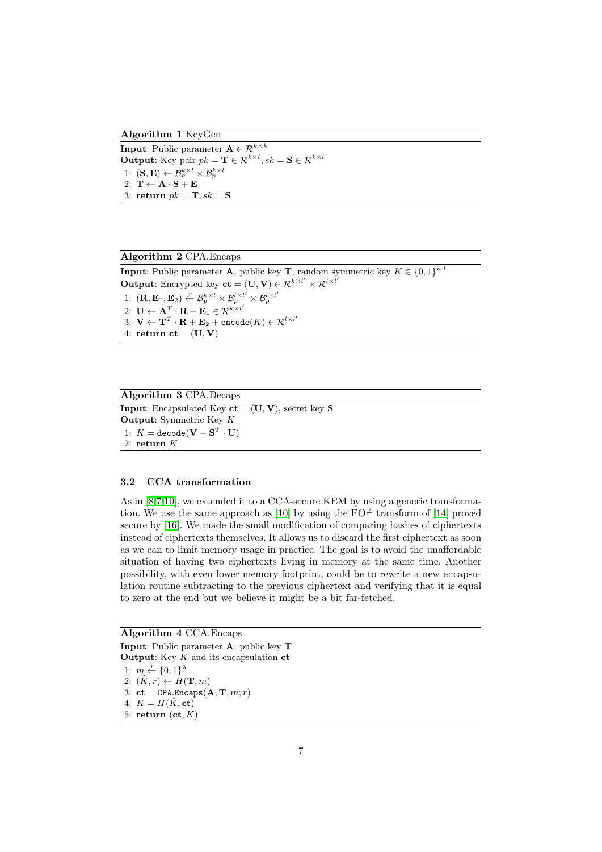Algorithm 1 KeyGen

<span id="page-6-0"></span>**Input:** Public parameter  $\mathbf{A} \in \mathcal{R}^{k \times k}$ **Output**: Key pair  $pk = \mathbf{T} \in \mathcal{R}^{k \times l}$ ,  $sk = \mathbf{S} \in \mathcal{R}^{k \times l}$ 1:  $(\mathbf{S}, \mathbf{E}) \leftarrow \mathcal{B}_p^{k \times l} \times \mathcal{B}_p^{k \times l}$ 2:  $T \leftarrow A \cdot S + E$ 3: return  $pk = \mathbf{T}, sk = \mathbf{S}$ 

<span id="page-6-1"></span>Algorithm 2 CPA.Encaps **Input:** Public parameter **A**, public key **T**, random symmetric key  $K \in \{0,1\}^{n \cdot l}$ **Output:** Encrypted key  $ct = (\mathbf{U}, \mathbf{V}) \in \mathcal{R}^{k \times l'} \times \mathcal{R}^{l \times l'}$  $1:~({\bf R},{\bf E}_1, {\bf E}_2) \stackrel{r}{\leftarrow} \mathcal{B}_p^{k\times l} \times \mathcal{B}_p^{l\times l'} \times \mathcal{B}_p^{l\times l'}$ 2:  $\mathbf{U} \leftarrow \mathbf{A}^T \cdot \mathbf{R} + \mathbf{E}_1 \in \mathcal{R}^{k \times l'}$  $3\colon\, {\bf V} \leftarrow {\bf T}^T \cdot {\bf R} + {\bf E}_2 + \texttt{encode}(K) \in \mathcal{R}^{l \times l^\prime}$ 4: return  $ct = (U, V)$ 

<span id="page-6-2"></span>Algorithm 3 CPA.Decaps **Input:** Encapsulated Key  $ct = (U, V)$ , secret key S Output: Symmetric Key K  $1{:}~K=\texttt{decode}(\textbf{V}-\textbf{S}^T\cdot\textbf{U})$ 2: return K

#### 3.2 CCA transformation

As in [\[8,](#page-13-1)[7](#page-13-0)[,10\]](#page-13-11), we extended it to a CCA-secure KEM by using a generic transforma-tion. We use the same approach as [\[10\]](#page-13-11) by using the  $FO^{\neq}$  transform of [\[14\]](#page-13-10) proved secure by [\[16\]](#page-14-9). We made the small modification of comparing hashes of ciphertexts instead of ciphertexts themselves. It allows us to discard the first ciphertext as soon as we can to limit memory usage in practice. The goal is to avoid the unaffordable situation of having two ciphertexts living in memory at the same time. Another possibility, with even lower memory footprint, could be to rewrite a new encapsulation routine subtracting to the previous ciphertext and verifying that it is equal to zero at the end but we believe it might be a bit far-fetched.

#### Algorithm 4 CCA.Encaps

Input: Public parameter A, public key T **Output:** Key  $K$  and its encapsulation  $ct$ 1:  $m \leftarrow \{0,1\}^{\lambda}$ 2:  $(\hat{K}, r) \leftarrow H(\mathbf{T}, m)$ 3:  $ct = \text{CPA}.\text{Encaps}(\mathbf{A}, \mathbf{T}, m; r)$ 4:  $K = H(\hat{K}, \text{ct})$ 5: return  $(ct, K)$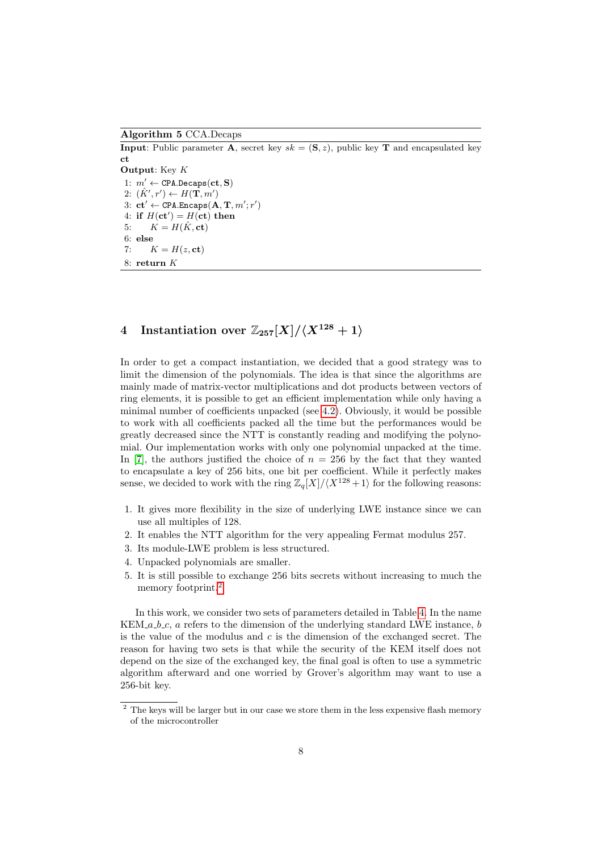Algorithm 5 CCA.Decaps

**Input:** Public parameter **A**, secret key  $sk = (\mathbf{S}, z)$ , public key **T** and encapsulated key ct Output: Key K 1:  $m' \leftarrow \texttt{CPA.Decaps}(\textbf{ct}, \textbf{S})$ 2:  $(\hat{K}', r') \leftarrow H(\mathbf{T}, m')$ 3:  $ct' \leftarrow \texttt{CPA}.\texttt{Encaps}(\mathbf{A}, \mathbf{T}, m'; r')$ 4: if  $H(ct') = H(ct)$  then 5:  $K = H(\hat{K}, \text{ct})$ 6: else 7:  $K = H(z, ct)$ 8: return K

# 4 Instantiation over  $\mathbb{Z}_{257}[X]/\langle X^{128} + 1 \rangle$

In order to get a compact instantiation, we decided that a good strategy was to limit the dimension of the polynomials. The idea is that since the algorithms are mainly made of matrix-vector multiplications and dot products between vectors of ring elements, it is possible to get an efficient implementation while only having a minimal number of coefficients unpacked (see [4.2\)](#page-9-0). Obviously, it would be possible to work with all coefficients packed all the time but the performances would be greatly decreased since the NTT is constantly reading and modifying the polynomial. Our implementation works with only one polynomial unpacked at the time. In [\[7\]](#page-13-0), the authors justified the choice of  $n = 256$  by the fact that they wanted to encapsulate a key of 256 bits, one bit per coefficient. While it perfectly makes sense, we decided to work with the ring  $\mathbb{Z}_q[X]/\langle X^{128} + 1 \rangle$  for the following reasons:

- 1. It gives more flexibility in the size of underlying LWE instance since we can use all multiples of 128.
- 2. It enables the NTT algorithm for the very appealing Fermat modulus 257.
- 3. Its module-LWE problem is less structured.
- 4. Unpacked polynomials are smaller.
- <span id="page-7-1"></span>5. It is still possible to exchange 256 bits secrets without increasing to much the memory footprint.[2](#page-7-0)

In this work, we consider two sets of parameters detailed in Table [4.](#page-7-1) In the name  $KEM_a_b_c$ , a refers to the dimension of the underlying standard LWE instance, b is the value of the modulus and  $c$  is the dimension of the exchanged secret. The reason for having two sets is that while the security of the KEM itself does not depend on the size of the exchanged key, the final goal is often to use a symmetric algorithm afterward and one worried by Grover's algorithm may want to use a 256-bit key.

<span id="page-7-0"></span> $\frac{2}{3}$  The keys will be larger but in our case we store them in the less expensive flash memory of the microcontroller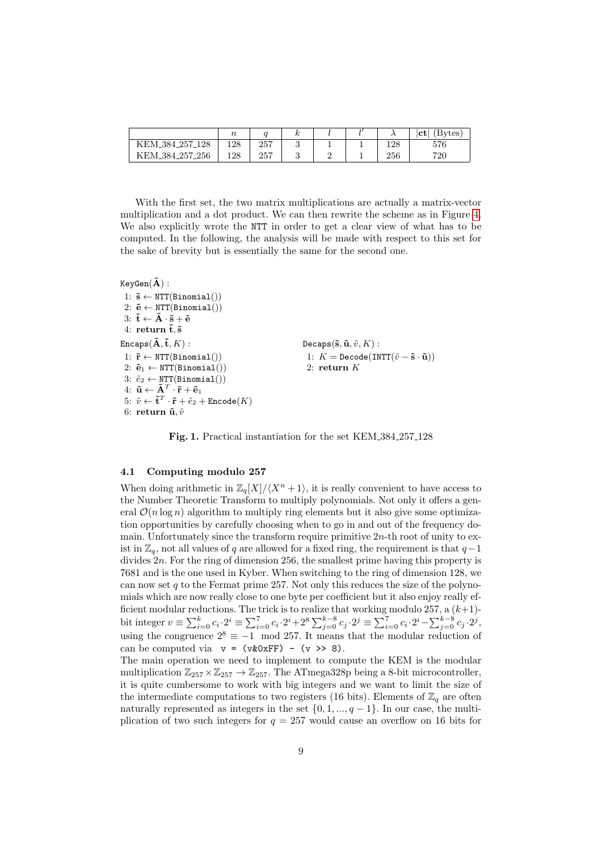|                                   | $\it n$ |     |  |     | [Bytes]<br>$ {\rm ct} $ |
|-----------------------------------|---------|-----|--|-----|-------------------------|
| KEM <sub>-384-257</sub><br>$-128$ | 128     | 257 |  | 128 | 576                     |
| KEM_384_257_256                   | 128     | 257 |  | 256 | 720                     |

With the first set, the two matrix multiplications are actually a matrix-vector multiplication and a dot product. We can then rewrite the scheme as in Figure [4.](#page-7-1) We also explicitly wrote the NTT in order to get a clear view of what has to be computed. In the following, the analysis will be made with respect to this set for the sake of brevity but is essentially the same for the second one.

```
KeyGen(\tilde{A}):
  1: \tilde{s} \leftarrow \text{NTT}(\text{Binomial}()2: \tilde{\mathbf{e}} \leftarrow \text{NTT}(\text{Binomial}() )3: \tilde{\mathbf{t}} \leftarrow \tilde{\mathbf{A}} \cdot \tilde{\mathbf{s}} + \tilde{\mathbf{e}}4: return \tilde{t}, \tilde{s}Encaps(\mathbf{\tilde{A}}, \mathbf{\tilde{t}}, K):
   1: \tilde{\mathbf{r}} \leftarrow \text{NTT}(\text{Binomial}() )2: \tilde{\mathbf{e}}_1 \leftarrow \text{NTT}(\text{Binomial}() )3: \tilde{e}_2 \leftarrow \text{NTT}(\text{Binomial}() )4: \mathbf{\tilde{u}} \leftarrow \mathbf{\tilde{A}}^T \cdot \mathbf{\tilde{r}} + \mathbf{\tilde{e}}_15: \; \tilde{v} \leftarrow \mathbf{\tilde{t}}^T \cdot \mathbf{\tilde{r}} + \tilde{e}_2 + \mathtt{Encode}(K)6: return \tilde{\mathbf{u}}, \tilde{v}Decaps(\tilde{\mathbf{s}}, \tilde{\mathbf{u}}, \tilde{v}, K):
                                                                                                                                 1: K = \text{Decode}(\text{INTT}(\tilde{v} - \tilde{s} \cdot \tilde{u}))2: return K
```
Fig. 1. Practical instantiation for the set KEM 384 257 128

#### 4.1 Computing modulo 257

When doing arithmetic in  $\mathbb{Z}_q[X]/\langle X^n + 1 \rangle$ , it is really convenient to have access to the Number Theoretic Transform to multiply polynomials. Not only it offers a general  $\mathcal{O}(n \log n)$  algorithm to multiply ring elements but it also give some optimization opportunities by carefully choosing when to go in and out of the frequency domain. Unfortunately since the transform require primitive  $2n$ -th root of unity to exist in  $\mathbb{Z}_q$ , not all values of q are allowed for a fixed ring, the requirement is that  $q-1$ divides  $2n$ . For the ring of dimension 256, the smallest prime having this property is 7681 and is the one used in Kyber. When switching to the ring of dimension 128, we can now set  $q$  to the Fermat prime 257. Not only this reduces the size of the polynomials which are now really close to one byte per coefficient but it also enjoy really efficient modular reductions. The trick is to realize that working modulo 257, a  $(k+1)$ bit integer  $v \equiv \sum_{i=0}^{k} c_i \cdot 2^i \equiv \sum_{i=0}^{7} c_i \cdot 2^i + 2^8 \sum_{j=0}^{k-8} c_j \cdot 2^j \equiv \sum_{i=0}^{7} c_i \cdot 2^i - \sum_{j=0}^{k-8} c_j \cdot 2^j$ using the congruence  $2^8 \equiv -1 \mod 257$ . It means that the modular reduction of can be computed via  $v = (v\&0xFF) - (v \gg 8)$ .

The main operation we need to implement to compute the KEM is the modular multiplication  $\mathbb{Z}_{257} \times \mathbb{Z}_{257} \rightarrow \mathbb{Z}_{257}$ . The ATmega328p being a 8-bit microcontroller, it is quite cumbersome to work with big integers and we want to limit the size of the intermediate computations to two registers (16 bits). Elements of  $\mathbb{Z}_q$  are often naturally represented as integers in the set  $\{0, 1, ..., q-1\}$ . In our case, the multiplication of two such integers for  $q = 257$  would cause an overflow on 16 bits for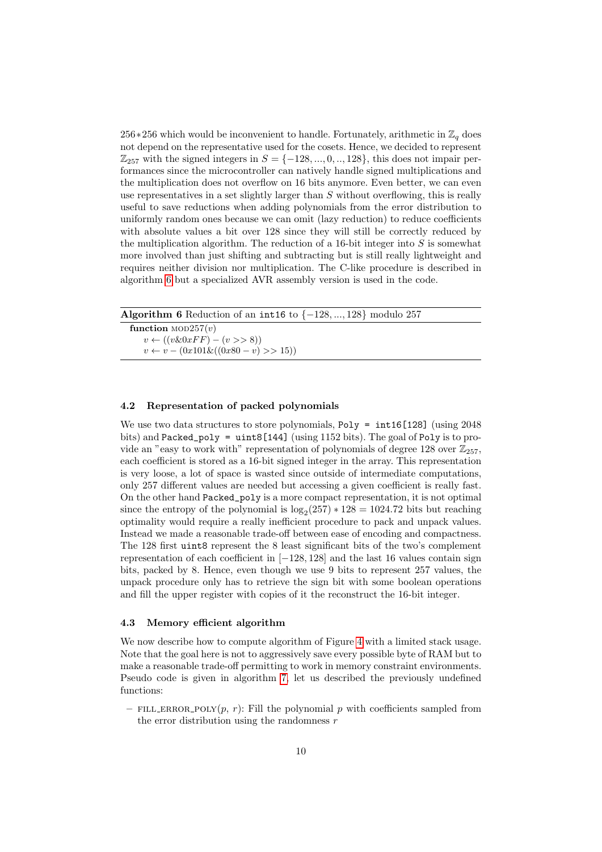256∗256 which would be inconvenient to handle. Fortunately, arithmetic in  $\mathbb{Z}_q$  does not depend on the representative used for the cosets. Hence, we decided to represent  $\mathbb{Z}_{257}$  with the signed integers in  $S = \{-128, ..., 0, ..., 128\}$ , this does not impair performances since the microcontroller can natively handle signed multiplications and the multiplication does not overflow on 16 bits anymore. Even better, we can even use representatives in a set slightly larger than  $S$  without overflowing, this is really useful to save reductions when adding polynomials from the error distribution to uniformly random ones because we can omit (lazy reduction) to reduce coefficients with absolute values a bit over 128 since they will still be correctly reduced by the multiplication algorithm. The reduction of a 16-bit integer into  $S$  is somewhat more involved than just shifting and subtracting but is still really lightweight and requires neither division nor multiplication. The C-like procedure is described in algorithm [6](#page-9-1) but a specialized AVR assembly version is used in the code.

<span id="page-9-1"></span>

| <b>Algorithm 6</b> Reduction of an int16 to $\{-128, , 128\}$ modulo 257 |  |
|--------------------------------------------------------------------------|--|
| function $MOD257(v)$                                                     |  |
| $v \leftarrow ((v \& 0xFF) - (v \gg 8))$                                 |  |
| $v \leftarrow v - (0x101\&((0x80 - v) >> 15))$                           |  |

#### <span id="page-9-0"></span>4.2 Representation of packed polynomials

We use two data structures to store polynomials, Poly =  $int16[128]$  (using 2048) bits) and Packed\_poly = uint8[144] (using 1152 bits). The goal of Poly is to provide an "easy to work with" representation of polynomials of degree 128 over  $\mathbb{Z}_{257}$ , each coefficient is stored as a 16-bit signed integer in the array. This representation is very loose, a lot of space is wasted since outside of intermediate computations, only 257 different values are needed but accessing a given coefficient is really fast. On the other hand Packed\_poly is a more compact representation, it is not optimal since the entropy of the polynomial is  $\log_2(257) * 128 = 1024.72$  bits but reaching optimality would require a really inefficient procedure to pack and unpack values. Instead we made a reasonable trade-off between ease of encoding and compactness. The 128 first uint8 represent the 8 least significant bits of the two's complement representation of each coefficient in [−128, 128] and the last 16 values contain sign bits, packed by 8. Hence, even though we use 9 bits to represent 257 values, the unpack procedure only has to retrieve the sign bit with some boolean operations and fill the upper register with copies of it the reconstruct the 16-bit integer.

#### 4.3 Memory efficient algorithm

We now describe how to compute algorithm of Figure [4](#page-7-1) with a limited stack usage. Note that the goal here is not to aggressively save every possible byte of RAM but to make a reasonable trade-off permitting to work in memory constraint environments. Pseudo code is given in algorithm [7,](#page-10-0) let us described the previously undefined functions:

– FILL ERROR POLY $(p, r)$ : Fill the polynomial p with coefficients sampled from the error distribution using the randomness  $r$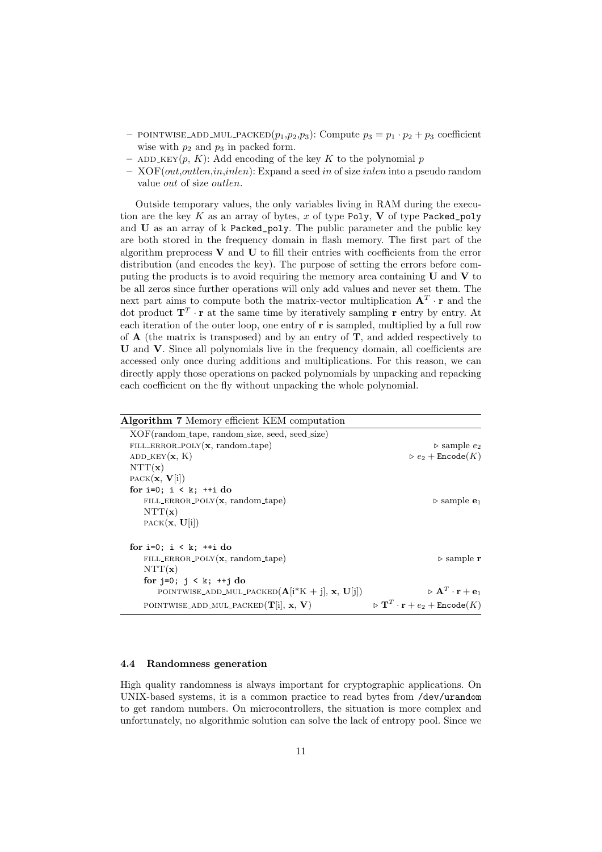- POINTWISE\_ADD\_MUL\_PACKED $(p_1,p_2,p_3)$ : Compute  $p_3 = p_1 \cdot p_2 + p_3$  coefficient wise with  $p_2$  and  $p_3$  in packed form.
- ADD\_KEY(p, K): Add encoding of the key K to the polynomial p
- XOF(out,outlen,in,inlen): Expand a seed in of size inlen into a pseudo random value out of size outlen.

Outside temporary values, the only variables living in RAM during the execution are the key  $K$  as an array of bytes,  $x$  of type Poly,  $V$  of type Packed\_poly and U as an array of k Packed\_poly. The public parameter and the public key are both stored in the frequency domain in flash memory. The first part of the algorithm preprocess  $V$  and  $U$  to fill their entries with coefficients from the error distribution (and encodes the key). The purpose of setting the errors before computing the products is to avoid requiring the memory area containing  $U$  and  $V$  to be all zeros since further operations will only add values and never set them. The next part aims to compute both the matrix-vector multiplication  $A<sup>T</sup> \cdot r$  and the dot product  $\mathbf{T}^T \cdot \mathbf{r}$  at the same time by iteratively sampling  $\mathbf{r}$  entry by entry. At each iteration of the outer loop, one entry of  $r$  is sampled, multiplied by a full row of  $A$  (the matrix is transposed) and by an entry of  $T$ , and added respectively to U and V. Since all polynomials live in the frequency domain, all coefficients are accessed only once during additions and multiplications. For this reason, we can directly apply those operations on packed polynomials by unpacking and repacking each coefficient on the fly without unpacking the whole polynomial.

<span id="page-10-0"></span>

| Algorithm 7 Memory efficient KEM computation     |                                                                           |
|--------------------------------------------------|---------------------------------------------------------------------------|
| XOF(random_tape, random_size, seed, seed_size)   |                                                                           |
| FILL_ERROR_POLY $(x, \text{random\_tape})$       | $\triangleright$ sample $e_2$                                             |
| ADD_KEY $(x, K)$                                 | $\triangleright e_2 + \text{Encode}(K)$                                   |
| $\text{NTT}(\mathbf{x})$                         |                                                                           |
| $PACK(\mathbf{x}, \mathbf{V}[i])$                |                                                                           |
| for $i=0$ ; $i < k$ ; $+i d$ o                   |                                                                           |
| FILL_ERROR_POLY $(x, \text{random\_tape})$       | $\triangleright$ sample $e_1$                                             |
| $\text{NTT}(\mathbf{x})$                         |                                                                           |
| $PACK(\mathbf{x}, \mathbf{U}[i])$                |                                                                           |
| for $i=0$ ; $i \lt k$ ; $+i \cdot d$ o           |                                                                           |
| FILL_ERROR_POLY $(x, \text{random\_tape})$       | $\triangleright$ sample r                                                 |
| $\text{NTT}(\mathbf{x})$                         |                                                                           |
| for $j=0$ ; $j < k$ ; $++j$ do                   |                                                                           |
| POINTWISE_ADD_MUL_PACKED $(A[i*K + j], x, U[j])$ | $\triangleright$ A <sup>T</sup> · <b>r</b> + <b>e</b> <sub>1</sub>        |
| POINTWISE_ADD_MUL_PACKED $(T[i], x, V)$          | $\triangleright$ $\mathbf{T}^T \cdot \mathbf{r} + e_2 + \text{Encode}(K)$ |

#### 4.4 Randomness generation

High quality randomness is always important for cryptographic applications. On UNIX-based systems, it is a common practice to read bytes from /dev/urandom to get random numbers. On microcontrollers, the situation is more complex and unfortunately, no algorithmic solution can solve the lack of entropy pool. Since we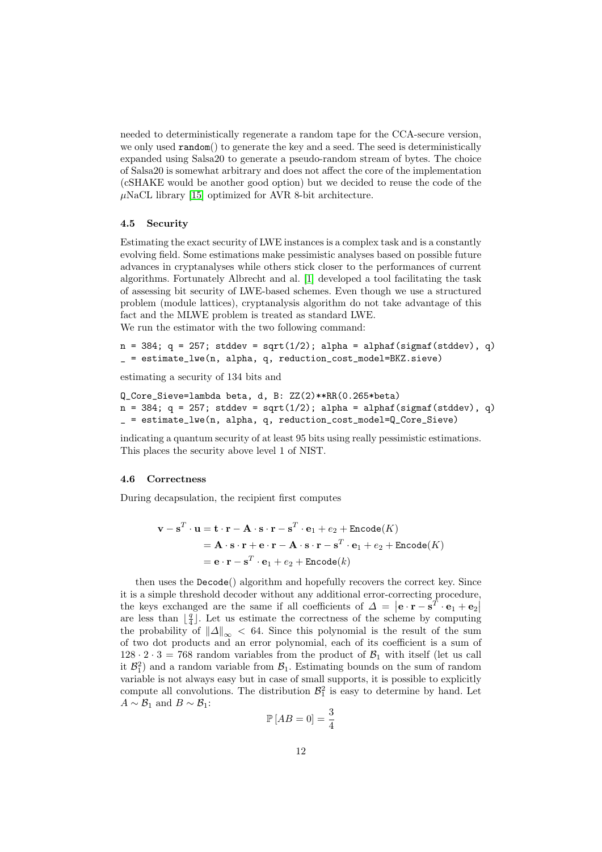needed to deterministically regenerate a random tape for the CCA-secure version, we only used random() to generate the key and a seed. The seed is deterministically expanded using Salsa20 to generate a pseudo-random stream of bytes. The choice of Salsa20 is somewhat arbitrary and does not affect the core of the implementation (cSHAKE would be another good option) but we decided to reuse the code of the  $\mu$ NaCL library [\[15\]](#page-14-10) optimized for AVR 8-bit architecture.

#### 4.5 Security

Estimating the exact security of LWE instances is a complex task and is a constantly evolving field. Some estimations make pessimistic analyses based on possible future advances in cryptanalyses while others stick closer to the performances of current algorithms. Fortunately Albrecht and al. [\[1\]](#page-13-12) developed a tool facilitating the task of assessing bit security of LWE-based schemes. Even though we use a structured problem (module lattices), cryptanalysis algorithm do not take advantage of this fact and the MLWE problem is treated as standard LWE.

We run the estimator with the two following command:

 $n = 384$ ;  $q = 257$ ; stddev = sqrt $(1/2)$ ; alpha = alphaf(sigmaf(stddev), q) \_ = estimate\_lwe(n, alpha, q, reduction\_cost\_model=BKZ.sieve)

estimating a security of 134 bits and

```
Q_Core_Sieve=lambda beta, d, B: ZZ(2)**RR(0.265*beta)
n = 384; q = 257; stddev = sqrt(1/2); alpha = alphaf(sigmaf(stddev), q)
_ = estimate_lwe(n, alpha, q, reduction_cost_model=Q_Core_Sieve)
```
indicating a quantum security of at least 95 bits using really pessimistic estimations. This places the security above level 1 of NIST.

#### 4.6 Correctness

During decapsulation, the recipient first computes

$$
\mathbf{v} - \mathbf{s}^T \cdot \mathbf{u} = \mathbf{t} \cdot \mathbf{r} - \mathbf{A} \cdot \mathbf{s} \cdot \mathbf{r} - \mathbf{s}^T \cdot \mathbf{e}_1 + e_2 + \text{Encode}(K)
$$
  
=  $\mathbf{A} \cdot \mathbf{s} \cdot \mathbf{r} + \mathbf{e} \cdot \mathbf{r} - \mathbf{A} \cdot \mathbf{s} \cdot \mathbf{r} - \mathbf{s}^T \cdot \mathbf{e}_1 + e_2 + \text{Encode}(K)$   
=  $\mathbf{e} \cdot \mathbf{r} - \mathbf{s}^T \cdot \mathbf{e}_1 + e_2 + \text{Encode}(k)$ 

then uses the Decode() algorithm and hopefully recovers the correct key. Since it is a simple threshold decoder without any additional error-correcting procedure, the keys exchanged are the same if all coefficients of  $\Delta = |\mathbf{e} \cdot \mathbf{r} - \mathbf{s}^T \cdot \mathbf{e}_1 + \mathbf{e}_2|$ are less than  $\lfloor \frac{q}{4} \rfloor$ . Let us estimate the correctness of the scheme by computing the probability of  $\|\Delta\|_{\infty}$  < 64. Since this polynomial is the result of the sum of two dot products and an error polynomial, each of its coefficient is a sum of  $128 \cdot 2 \cdot 3 = 768$  random variables from the product of  $\mathcal{B}_1$  with itself (let us call it  $\mathcal{B}_1^2$  and a random variable from  $\mathcal{B}_1$ . Estimating bounds on the sum of random variable is not always easy but in case of small supports, it is possible to explicitly compute all convolutions. The distribution  $\mathcal{B}_1^2$  is easy to determine by hand. Let  $A \sim \mathcal{B}_1$  and  $B \sim \mathcal{B}_1$ :

$$
\mathbb{P}\left[AB=0\right]=\frac{3}{4}
$$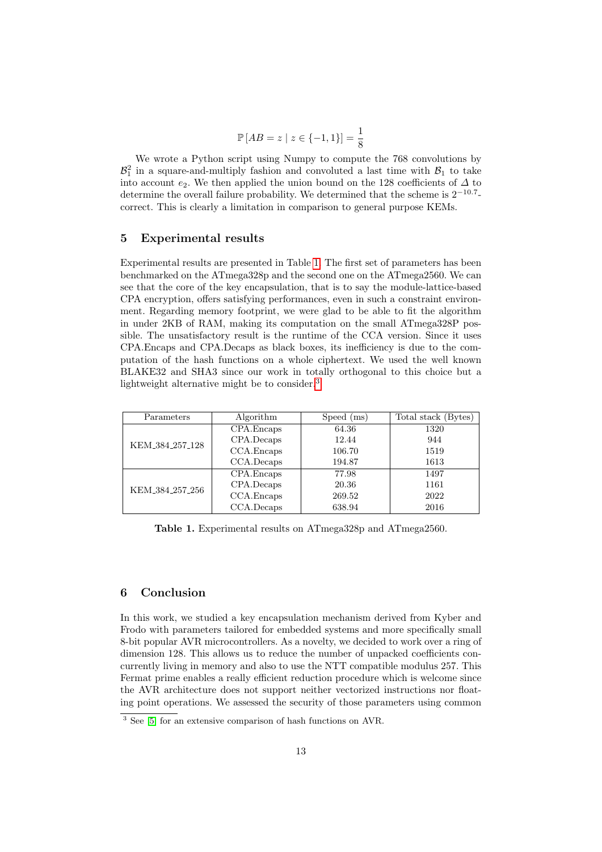$$
\mathbb{P}[AB = z \mid z \in \{-1, 1\}] = \frac{1}{8}
$$

We wrote a Python script using Numpy to compute the 768 convolutions by  $\mathcal{B}_1^2$  in a square-and-multiply fashion and convoluted a last time with  $\mathcal{B}_1$  to take into account e<sub>2</sub>. We then applied the union bound on the 128 coefficients of  $\Delta$  to determine the overall failure probability. We determined that the scheme is  $2^{-10.7}$ correct. This is clearly a limitation in comparison to general purpose KEMs.

# 5 Experimental results

Experimental results are presented in Table [1.](#page-12-0) The first set of parameters has been benchmarked on the ATmega328p and the second one on the ATmega2560. We can see that the core of the key encapsulation, that is to say the module-lattice-based CPA encryption, offers satisfying performances, even in such a constraint environment. Regarding memory footprint, we were glad to be able to fit the algorithm in under 2KB of RAM, making its computation on the small ATmega328P possible. The unsatisfactory result is the runtime of the CCA version. Since it uses CPA.Encaps and CPA.Decaps as black boxes, its inefficiency is due to the computation of the hash functions on a whole ciphertext. We used the well known BLAKE32 and SHA3 since our work in totally orthogonal to this choice but a lightweight alternative might be to consider.<sup>[3](#page-12-1)</sup>

| Parameters                  | Algorithm  | Speed (ms) | Total stack (Bytes) |
|-----------------------------|------------|------------|---------------------|
|                             | CPA.Encaps | 64.36      | 1320                |
| KEM_384_257_128             | CPA.Decaps | 12.44      | 944                 |
|                             | CCA.Encaps | 106.70     | 1519                |
|                             | CCA.Decaps | 194.87     | 1613                |
| KEM <sub>-384-257-256</sub> | CPA.Encaps | 77.98      | 1497                |
|                             | CPA.Decaps | 20.36      | 1161                |
|                             | CCA.Encaps | 269.52     | 2022                |
|                             | CCA.Decaps | 638.94     | 2016                |

<span id="page-12-0"></span>Table 1. Experimental results on ATmega328p and ATmega2560.

### 6 Conclusion

In this work, we studied a key encapsulation mechanism derived from Kyber and Frodo with parameters tailored for embedded systems and more specifically small 8-bit popular AVR microcontrollers. As a novelty, we decided to work over a ring of dimension 128. This allows us to reduce the number of unpacked coefficients concurrently living in memory and also to use the NTT compatible modulus 257. This Fermat prime enables a really efficient reduction procedure which is welcome since the AVR architecture does not support neither vectorized instructions nor floating point operations. We assessed the security of those parameters using common

<span id="page-12-1"></span> $\frac{3}{3}$  See [\[5\]](#page-13-13) for an extensive comparison of hash functions on AVR.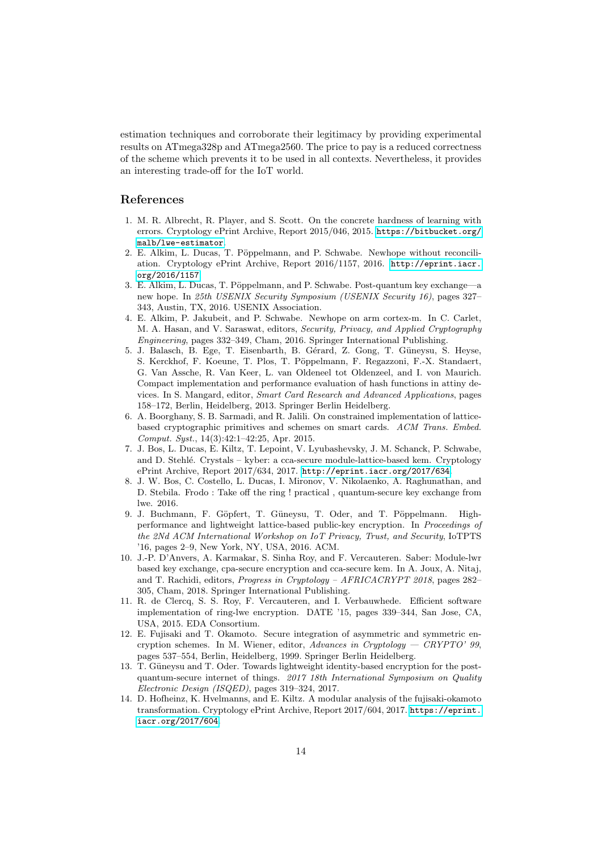estimation techniques and corroborate their legitimacy by providing experimental results on ATmega328p and ATmega2560. The price to pay is a reduced correctness of the scheme which prevents it to be used in all contexts. Nevertheless, it provides an interesting trade-off for the IoT world.

### References

- <span id="page-13-12"></span>1. M. R. Albrecht, R. Player, and S. Scott. On the concrete hardness of learning with errors. Cryptology ePrint Archive, Report 2015/046, 2015. [https://bitbucket.org/](https://bitbucket.org/malb/lwe-estimator) [malb/lwe-estimator](https://bitbucket.org/malb/lwe-estimator).
- <span id="page-13-3"></span>2. E. Alkim, L. Ducas, T. Pöppelmann, and P. Schwabe. Newhope without reconciliation. Cryptology ePrint Archive, Report 2016/1157, 2016. [http://eprint.iacr.](http://eprint.iacr.org/2016/1157) [org/2016/1157](http://eprint.iacr.org/2016/1157).
- <span id="page-13-2"></span>3. E. Alkim, L. Ducas, T. Pöppelmann, and P. Schwabe. Post-quantum key exchange—a new hope. In 25th USENIX Security Symposium (USENIX Security 16), pages 327– 343, Austin, TX, 2016. USENIX Association.
- <span id="page-13-5"></span>4. E. Alkim, P. Jakubeit, and P. Schwabe. Newhope on arm cortex-m. In C. Carlet, M. A. Hasan, and V. Saraswat, editors, Security, Privacy, and Applied Cryptography Engineering, pages 332–349, Cham, 2016. Springer International Publishing.
- <span id="page-13-13"></span>5. J. Balasch, B. Ege, T. Eisenbarth, B. Gérard, Z. Gong, T. Güneysu, S. Heyse, S. Kerckhof, F. Koeune, T. Plos, T. Pöppelmann, F. Regazzoni, F.-X. Standaert, G. Van Assche, R. Van Keer, L. van Oldeneel tot Oldenzeel, and I. von Maurich. Compact implementation and performance evaluation of hash functions in attiny devices. In S. Mangard, editor, Smart Card Research and Advanced Applications, pages 158–172, Berlin, Heidelberg, 2013. Springer Berlin Heidelberg.
- <span id="page-13-7"></span>6. A. Boorghany, S. B. Sarmadi, and R. Jalili. On constrained implementation of latticebased cryptographic primitives and schemes on smart cards. ACM Trans. Embed. Comput. Syst., 14(3):42:1–42:25, Apr. 2015.
- <span id="page-13-0"></span>7. J. Bos, L. Ducas, E. Kiltz, T. Lepoint, V. Lyubashevsky, J. M. Schanck, P. Schwabe, and D. Stehlé. Crystals – kyber: a cca-secure module-lattice-based kem. Cryptology ePrint Archive, Report 2017/634, 2017. <http://eprint.iacr.org/2017/634>.
- <span id="page-13-1"></span>8. J. W. Bos, C. Costello, L. Ducas, I. Mironov, V. Nikolaenko, A. Raghunathan, and D. Stebila. Frodo : Take off the ring ! practical , quantum-secure key exchange from lwe. 2016.
- <span id="page-13-8"></span>9. J. Buchmann, F. Göpfert, T. Güneysu, T. Oder, and T. Pöppelmann. Highperformance and lightweight lattice-based public-key encryption. In Proceedings of the 2Nd ACM International Workshop on IoT Privacy, Trust, and Security, IoTPTS '16, pages 2–9, New York, NY, USA, 2016. ACM.
- <span id="page-13-11"></span>10. J.-P. D'Anvers, A. Karmakar, S. Sinha Roy, and F. Vercauteren. Saber: Module-lwr based key exchange, cpa-secure encryption and cca-secure kem. In A. Joux, A. Nitaj, and T. Rachidi, editors, Progress in Cryptology – AFRICACRYPT 2018, pages 282– 305, Cham, 2018. Springer International Publishing.
- <span id="page-13-6"></span>11. R. de Clercq, S. S. Roy, F. Vercauteren, and I. Verbauwhede. Efficient software implementation of ring-lwe encryption. DATE '15, pages 339–344, San Jose, CA, USA, 2015. EDA Consortium.
- <span id="page-13-9"></span>12. E. Fujisaki and T. Okamoto. Secure integration of asymmetric and symmetric encryption schemes. In M. Wiener, editor, Advances in Cryptology — CRYPTO' 99, pages 537–554, Berlin, Heidelberg, 1999. Springer Berlin Heidelberg.
- <span id="page-13-4"></span>13. T. Güneysu and T. Oder. Towards lightweight identity-based encryption for the postquantum-secure internet of things. 2017 18th International Symposium on Quality Electronic Design (ISQED), pages 319–324, 2017.
- <span id="page-13-10"></span>14. D. Hofheinz, K. Hvelmanns, and E. Kiltz. A modular analysis of the fujisaki-okamoto transformation. Cryptology ePrint Archive, Report 2017/604, 2017. [https://eprint.](https://eprint.iacr.org/2017/604) [iacr.org/2017/604](https://eprint.iacr.org/2017/604).